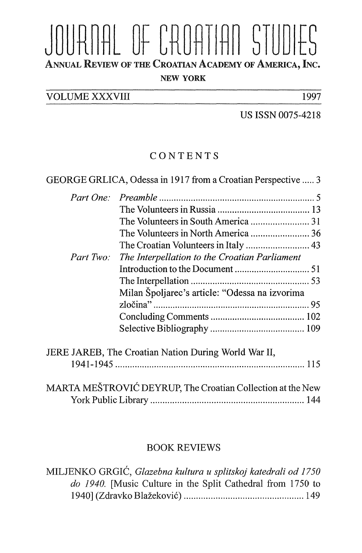## JOURNAL OF CROATIAN STUDIES NEW YORK

VOLUME XXXVIII 1997

US ISSN 0075-4218

## CONTENTS

| Part Two: | The Interpellation to the Croatian Parliament                                                                      |  |
|-----------|--------------------------------------------------------------------------------------------------------------------|--|
|           |                                                                                                                    |  |
|           |                                                                                                                    |  |
|           | Milan Špoljarec's article: "Odessa na izvorima                                                                     |  |
|           |                                                                                                                    |  |
|           |                                                                                                                    |  |
|           |                                                                                                                    |  |
|           |                                                                                                                    |  |
|           |                                                                                                                    |  |
|           | JERE JAREB, The Croatian Nation During World War II,<br>MARTA MEŠTROVIĆ DEYRUP, The Croatian Collection at the New |  |

## BOOK REVIEWS

MILJENKO GRGIĆ, *Glazebna kultura u splitskoj katedrali od 1750*   $\mu$ <sub>D</sub> 1940. **Figure in the Split Cathedral Cathedral** Control Cathedral in the Split Cathedral Cathedral in the Space of the Space of the Space of the Space of the Space of the Space of the Space of the Space of the Spa 1940] (Zdravko Blažeković) ................................................. 149